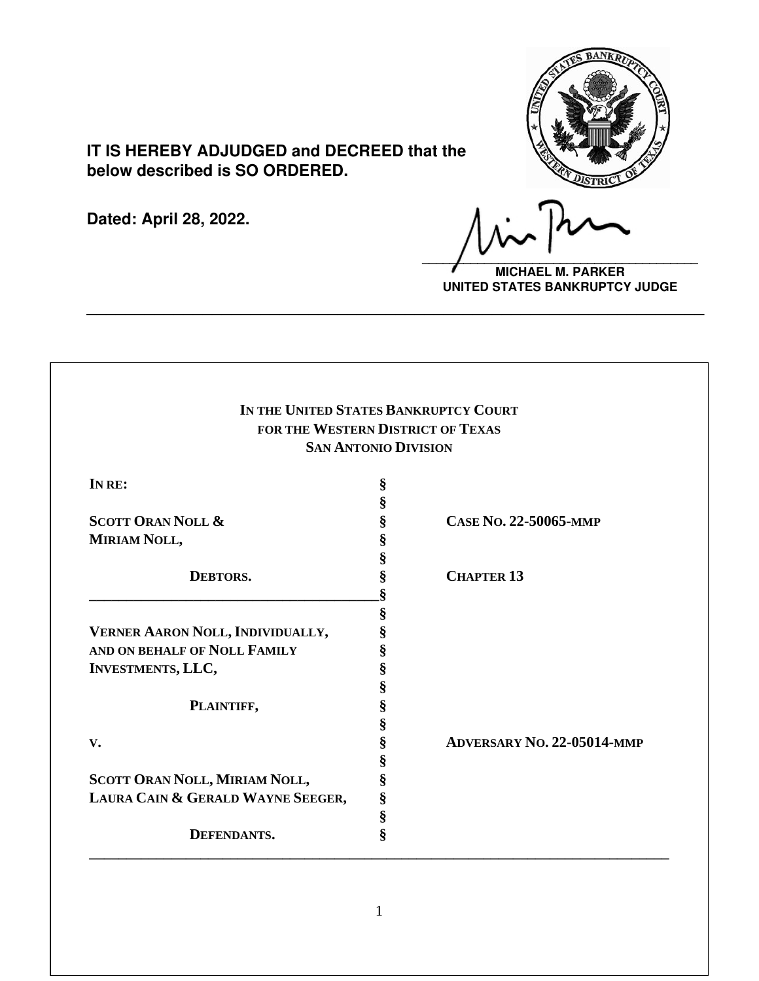

# **IT IS HEREBY ADJUDGED and DECREED that the below described is SO ORDERED.**

**Dated: April 28, 2022.**

**\_\_\_\_\_\_\_\_\_\_\_\_\_\_\_\_\_\_\_\_\_\_\_\_\_\_\_\_\_\_\_\_\_\_\_\_\_\_\_\_**

**MICHAEL M. PARKER UNITED STATES BANKRUPTCY JUDGE**

| IN THE UNITED STATES BANKRUPTCY COURT<br>FOR THE WESTERN DISTRICT OF TEXAS<br><b>SAN ANTONIO DIVISION</b> |   |                                   |        |   |  |
|-----------------------------------------------------------------------------------------------------------|---|-----------------------------------|--------|---|--|
|                                                                                                           |   |                                   | IN RE: | § |  |
|                                                                                                           |   |                                   |        | § |  |
| <b>SCOTT ORAN NOLL &amp;</b>                                                                              | § | CASE NO. 22-50065-MMP             |        |   |  |
| MIRIAM NOLL,                                                                                              | § |                                   |        |   |  |
|                                                                                                           | § |                                   |        |   |  |
| <b>DEBTORS.</b>                                                                                           | § | <b>CHAPTER 13</b>                 |        |   |  |
|                                                                                                           | § |                                   |        |   |  |
|                                                                                                           | § |                                   |        |   |  |
| VERNER AARON NOLL, INDIVIDUALLY,                                                                          | § |                                   |        |   |  |
| AND ON BEHALF OF NOLL FAMILY                                                                              | § |                                   |        |   |  |
| <b>INVESTMENTS, LLC,</b>                                                                                  | § |                                   |        |   |  |
|                                                                                                           | § |                                   |        |   |  |
| PLAINTIFF,                                                                                                | § |                                   |        |   |  |
|                                                                                                           | § |                                   |        |   |  |
| V.                                                                                                        | § | <b>ADVERSARY NO. 22-05014-MMP</b> |        |   |  |
|                                                                                                           | § |                                   |        |   |  |
| SCOTT ORAN NOLL, MIRIAM NOLL,                                                                             | § |                                   |        |   |  |
| LAURA CAIN & GERALD WAYNE SEEGER,                                                                         | § |                                   |        |   |  |
|                                                                                                           | § |                                   |        |   |  |
| DEFENDANTS.                                                                                               | Ş |                                   |        |   |  |

**\_\_\_\_\_\_\_\_\_\_\_\_\_\_\_\_\_\_\_\_\_\_\_\_\_\_\_\_\_\_\_\_\_\_\_\_\_\_\_\_\_\_\_\_\_\_\_\_\_\_\_\_\_\_\_\_\_\_\_\_\_\_\_\_**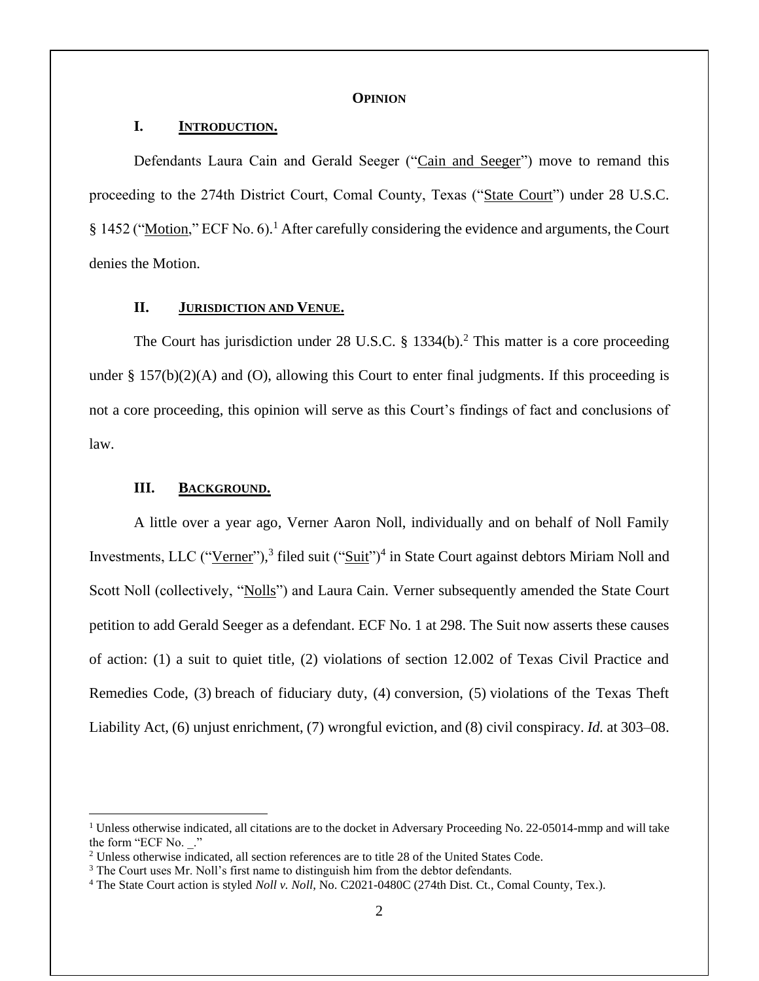### **OPINION**

## **I. INTRODUCTION.**

Defendants Laura Cain and Gerald Seeger ("Cain and Seeger") move to remand this proceeding to the 274th District Court, Comal County, Texas ("State Court") under 28 U.S.C. § 1452 ("Motion," ECF No. 6).<sup>1</sup> After carefully considering the evidence and arguments, the Court denies the Motion.

# **II. JURISDICTION AND VENUE.**

The Court has jurisdiction under 28 U.S.C. § 1334(b).<sup>2</sup> This matter is a core proceeding under  $\S 157(b)(2)(A)$  and (O), allowing this Court to enter final judgments. If this proceeding is not a core proceeding, this opinion will serve as this Court's findings of fact and conclusions of law.

### **III. BACKGROUND.**

A little over a year ago, Verner Aaron Noll, individually and on behalf of Noll Family Investments, LLC ("Verner"),<sup>3</sup> filed suit ("Suit")<sup>4</sup> in State Court against debtors Miriam Noll and Scott Noll (collectively, "Nolls") and Laura Cain. Verner subsequently amended the State Court petition to add Gerald Seeger as a defendant. ECF No. 1 at 298. The Suit now asserts these causes of action: (1) a suit to quiet title, (2) violations of section 12.002 of Texas Civil Practice and Remedies Code, (3) breach of fiduciary duty, (4) conversion, (5) violations of the Texas Theft Liability Act, (6) unjust enrichment, (7) wrongful eviction, and (8) civil conspiracy. *Id.* at 303–08.

<sup>&</sup>lt;sup>1</sup> Unless otherwise indicated, all citations are to the docket in Adversary Proceeding No. 22-05014-mmp and will take the form "ECF No. \_."

<sup>2</sup> Unless otherwise indicated, all section references are to title 28 of the United States Code.

<sup>&</sup>lt;sup>3</sup> The Court uses Mr. Noll's first name to distinguish him from the debtor defendants.

<sup>4</sup> The State Court action is styled *Noll v. Noll*, No. C2021-0480C (274th Dist. Ct., Comal County, Tex.).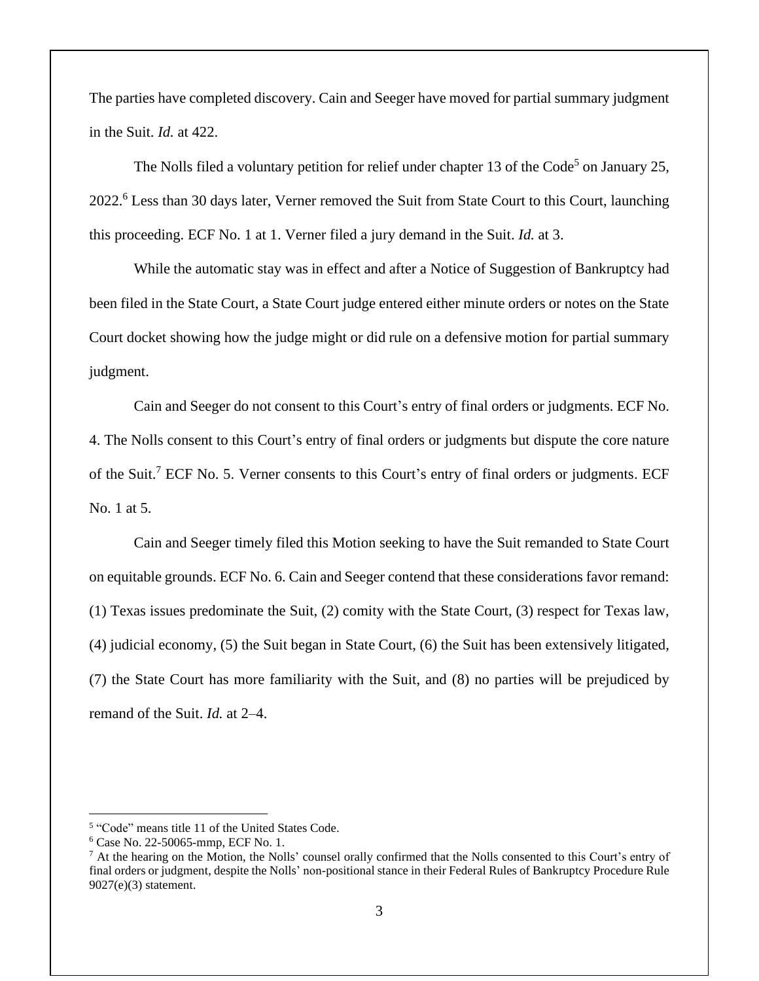The parties have completed discovery. Cain and Seeger have moved for partial summary judgment in the Suit. *Id.* at 422.

The Nolls filed a voluntary petition for relief under chapter 13 of the Code<sup>5</sup> on January 25, 2022.<sup>6</sup> Less than 30 days later, Verner removed the Suit from State Court to this Court, launching this proceeding. ECF No. 1 at 1. Verner filed a jury demand in the Suit. *Id.* at 3.

While the automatic stay was in effect and after a Notice of Suggestion of Bankruptcy had been filed in the State Court, a State Court judge entered either minute orders or notes on the State Court docket showing how the judge might or did rule on a defensive motion for partial summary judgment.

Cain and Seeger do not consent to this Court's entry of final orders or judgments. ECF No. 4. The Nolls consent to this Court's entry of final orders or judgments but dispute the core nature of the Suit.<sup>7</sup> ECF No. 5. Verner consents to this Court's entry of final orders or judgments. ECF No. 1 at 5.

Cain and Seeger timely filed this Motion seeking to have the Suit remanded to State Court on equitable grounds. ECF No. 6. Cain and Seeger contend that these considerations favor remand: (1) Texas issues predominate the Suit, (2) comity with the State Court, (3) respect for Texas law, (4) judicial economy, (5) the Suit began in State Court, (6) the Suit has been extensively litigated, (7) the State Court has more familiarity with the Suit, and (8) no parties will be prejudiced by remand of the Suit. *Id.* at 2–4.

<sup>&</sup>lt;sup>5</sup> "Code" means title 11 of the United States Code.

<sup>6</sup> Case No. 22-50065-mmp, ECF No. 1.

<sup>7</sup> At the hearing on the Motion, the Nolls' counsel orally confirmed that the Nolls consented to this Court's entry of final orders or judgment, despite the Nolls' non-positional stance in their Federal Rules of Bankruptcy Procedure Rule 9027(e)(3) statement.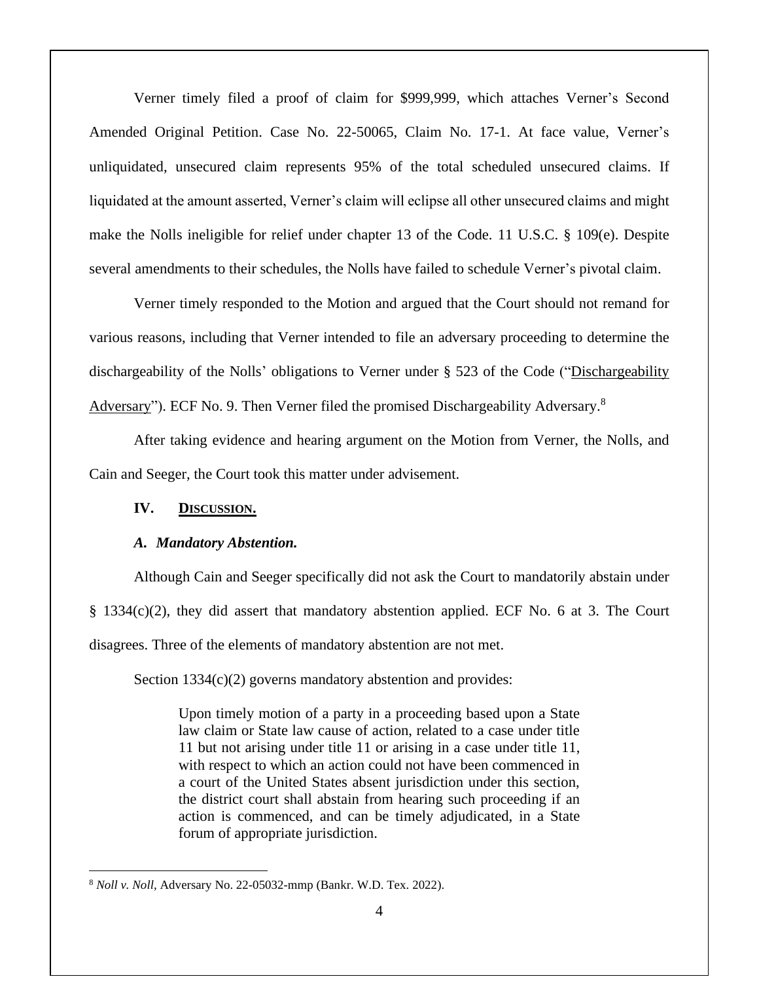Verner timely filed a proof of claim for \$999,999, which attaches Verner's Second Amended Original Petition. Case No. 22-50065, Claim No. 17-1. At face value, Verner's unliquidated, unsecured claim represents 95% of the total scheduled unsecured claims. If liquidated at the amount asserted, Verner's claim will eclipse all other unsecured claims and might make the Nolls ineligible for relief under chapter 13 of the Code. 11 U.S.C. § 109(e). Despite several amendments to their schedules, the Nolls have failed to schedule Verner's pivotal claim.

Verner timely responded to the Motion and argued that the Court should not remand for various reasons, including that Verner intended to file an adversary proceeding to determine the dischargeability of the Nolls' obligations to Verner under § 523 of the Code ("Dischargeability Adversary"). ECF No. 9. Then Verner filed the promised Dischargeability Adversary.<sup>8</sup>

After taking evidence and hearing argument on the Motion from Verner, the Nolls, and Cain and Seeger, the Court took this matter under advisement.

# **IV. DISCUSSION.**

# *A. Mandatory Abstention.*

Although Cain and Seeger specifically did not ask the Court to mandatorily abstain under § 1334(c)(2), they did assert that mandatory abstention applied. ECF No. 6 at 3. The Court disagrees. Three of the elements of mandatory abstention are not met.

Section 1334(c)(2) governs mandatory abstention and provides:

Upon timely motion of a party in a proceeding based upon a State law claim or State law cause of action, related to a case under title 11 but not arising under title 11 or arising in a case under title 11, with respect to which an action could not have been commenced in a court of the United States absent jurisdiction under this section, the district court shall abstain from hearing such proceeding if an action is commenced, and can be timely adjudicated, in a State forum of appropriate jurisdiction.

<sup>8</sup> *Noll v. Noll*, Adversary No. 22-05032-mmp (Bankr. W.D. Tex. 2022).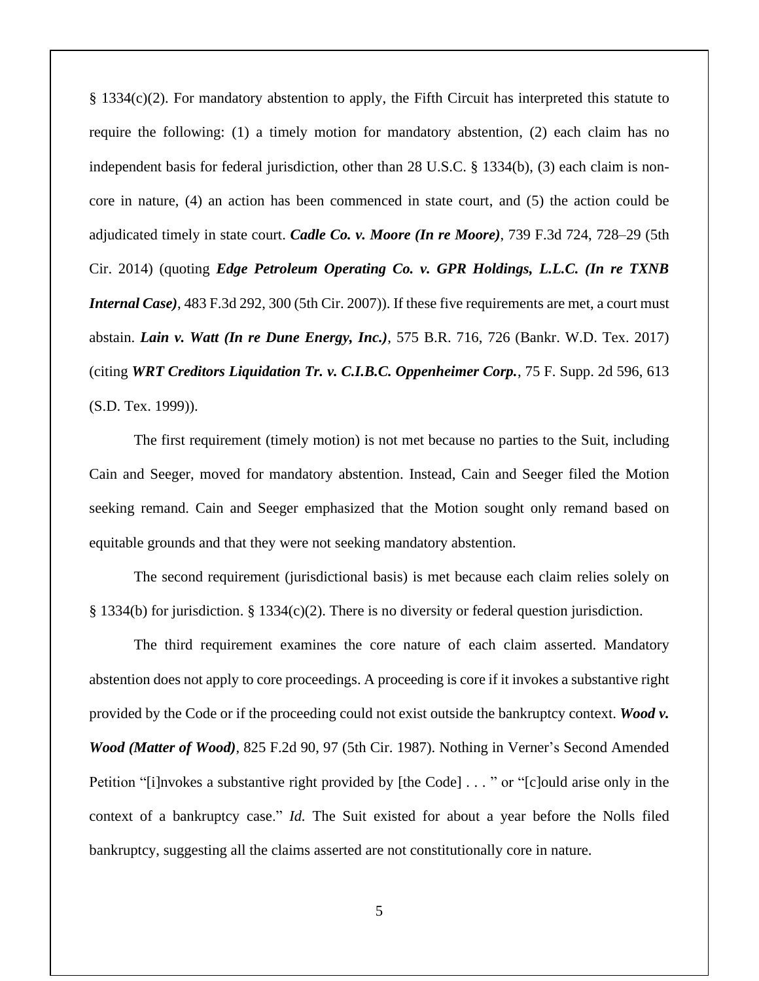§ 1334(c)(2). For mandatory abstention to apply, the Fifth Circuit has interpreted this statute to require the following: (1) a timely motion for mandatory abstention, (2) each claim has no independent basis for federal jurisdiction, other than 28 U.S.C. § 1334(b), (3) each claim is noncore in nature, (4) an action has been commenced in state court, and (5) the action could be adjudicated timely in state court. *Cadle Co. v. Moore (In re Moore)*, 739 F.3d 724, 728–29 (5th Cir. 2014) (quoting *Edge Petroleum Operating Co. v. GPR Holdings, L.L.C. (In re TXNB Internal Case)*, 483 F.3d 292, 300 (5th Cir. 2007)). If these five requirements are met, a court must abstain. *Lain v. Watt (In re Dune Energy, Inc.)*, 575 B.R. 716, 726 (Bankr. W.D. Tex. 2017) (citing *WRT Creditors Liquidation Tr. v. C.I.B.C. Oppenheimer Corp.*, 75 F. Supp. 2d 596, 613 (S.D. Tex. 1999)).

The first requirement (timely motion) is not met because no parties to the Suit, including Cain and Seeger, moved for mandatory abstention. Instead, Cain and Seeger filed the Motion seeking remand. Cain and Seeger emphasized that the Motion sought only remand based on equitable grounds and that they were not seeking mandatory abstention.

The second requirement (jurisdictional basis) is met because each claim relies solely on § 1334(b) for jurisdiction. § 1334(c)(2). There is no diversity or federal question jurisdiction.

The third requirement examines the core nature of each claim asserted. Mandatory abstention does not apply to core proceedings. A proceeding is core if it invokes a substantive right provided by the Code or if the proceeding could not exist outside the bankruptcy context. *Wood v. Wood (Matter of Wood)*, 825 F.2d 90, 97 (5th Cir. 1987). Nothing in Verner's Second Amended Petition "[i]nvokes a substantive right provided by [the Code] . . . " or "[c]ould arise only in the context of a bankruptcy case." *Id.* The Suit existed for about a year before the Nolls filed bankruptcy, suggesting all the claims asserted are not constitutionally core in nature.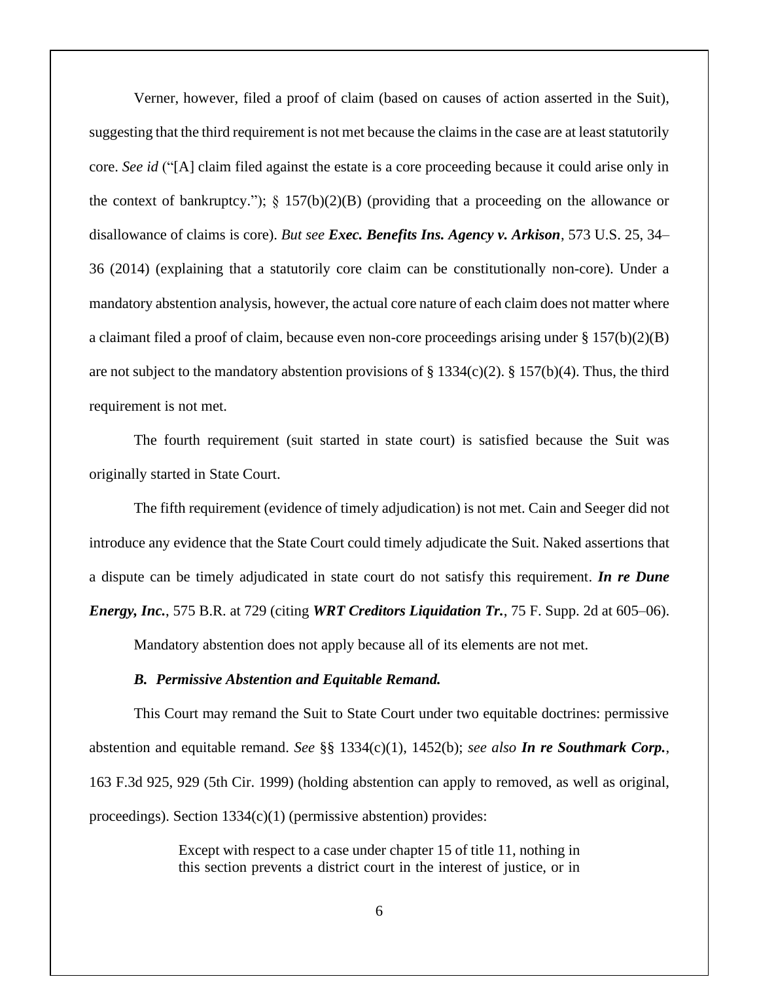Verner, however, filed a proof of claim (based on causes of action asserted in the Suit), suggesting that the third requirement is not met because the claims in the case are at least statutorily core. *See id* ("[A] claim filed against the estate is a core proceeding because it could arise only in the context of bankruptcy.");  $\S$  157(b)(2)(B) (providing that a proceeding on the allowance or disallowance of claims is core). *But see Exec. Benefits Ins. Agency v. Arkison*, 573 U.S. 25, 34– 36 (2014) (explaining that a statutorily core claim can be constitutionally non-core). Under a mandatory abstention analysis, however, the actual core nature of each claim does not matter where a claimant filed a proof of claim, because even non-core proceedings arising under § 157(b)(2)(B) are not subject to the mandatory abstention provisions of  $\S$  1334(c)(2).  $\S$  157(b)(4). Thus, the third requirement is not met.

The fourth requirement (suit started in state court) is satisfied because the Suit was originally started in State Court.

The fifth requirement (evidence of timely adjudication) is not met. Cain and Seeger did not introduce any evidence that the State Court could timely adjudicate the Suit. Naked assertions that a dispute can be timely adjudicated in state court do not satisfy this requirement. *In re Dune Energy, Inc.*, 575 B.R. at 729 (citing *WRT Creditors Liquidation Tr.*, 75 F. Supp. 2d at 605–06).

Mandatory abstention does not apply because all of its elements are not met.

### *B. Permissive Abstention and Equitable Remand.*

This Court may remand the Suit to State Court under two equitable doctrines: permissive abstention and equitable remand. *See* §§ 1334(c)(1), 1452(b); *see also In re Southmark Corp.*, 163 F.3d 925, 929 (5th Cir. 1999) (holding abstention can apply to removed, as well as original, proceedings). Section 1334(c)(1) (permissive abstention) provides:

> Except with respect to a case under chapter 15 of title 11, nothing in this section prevents a district court in the interest of justice, or in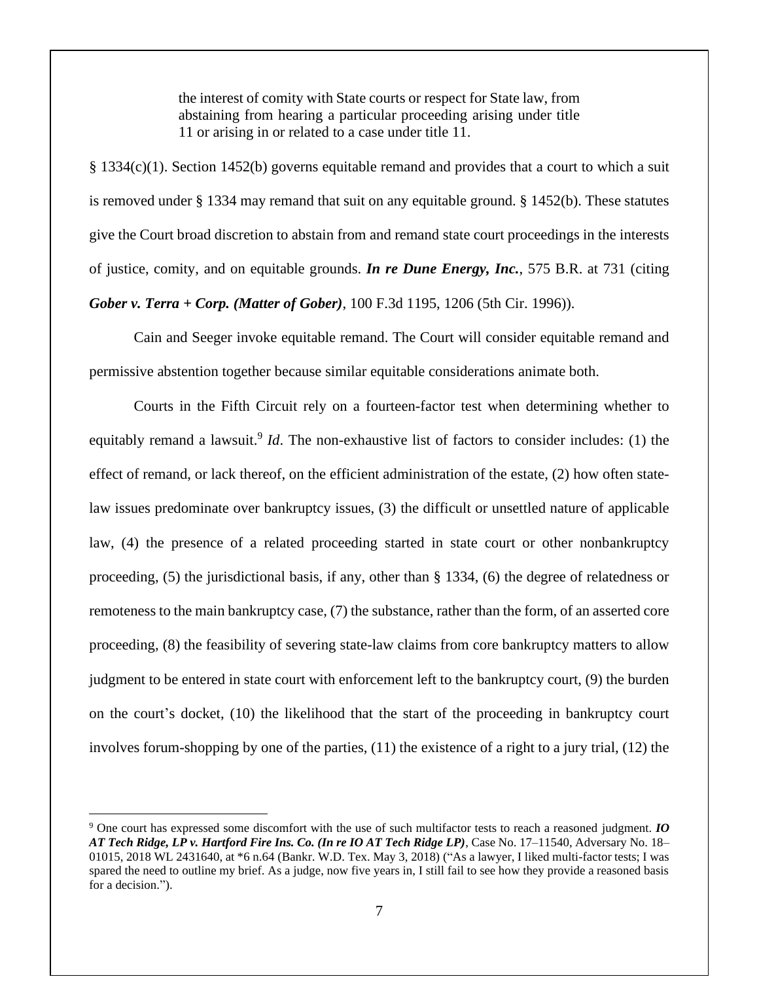the interest of comity with State courts or respect for State law, from abstaining from hearing a particular proceeding arising under title 11 or arising in or related to a case under title 11.

§ 1334(c)(1). Section 1452(b) governs equitable remand and provides that a court to which a suit is removed under § 1334 may remand that suit on any equitable ground. § 1452(b). These statutes give the Court broad discretion to abstain from and remand state court proceedings in the interests of justice, comity, and on equitable grounds. *In re Dune Energy, Inc.*, 575 B.R. at 731 (citing *Gober v. Terra + Corp. (Matter of Gober)*, 100 F.3d 1195, 1206 (5th Cir. 1996)).

Cain and Seeger invoke equitable remand. The Court will consider equitable remand and permissive abstention together because similar equitable considerations animate both.

Courts in the Fifth Circuit rely on a fourteen-factor test when determining whether to equitably remand a lawsuit.<sup>9</sup> *Id*. The non-exhaustive list of factors to consider includes: (1) the effect of remand, or lack thereof, on the efficient administration of the estate, (2) how often statelaw issues predominate over bankruptcy issues, (3) the difficult or unsettled nature of applicable law, (4) the presence of a related proceeding started in state court or other nonbankruptcy proceeding, (5) the jurisdictional basis, if any, other than § 1334, (6) the degree of relatedness or remoteness to the main bankruptcy case, (7) the substance, rather than the form, of an asserted core proceeding, (8) the feasibility of severing state-law claims from core bankruptcy matters to allow judgment to be entered in state court with enforcement left to the bankruptcy court, (9) the burden on the court's docket, (10) the likelihood that the start of the proceeding in bankruptcy court involves forum-shopping by one of the parties, (11) the existence of a right to a jury trial, (12) the

<sup>9</sup> One court has expressed some discomfort with the use of such multifactor tests to reach a reasoned judgment. *IO AT Tech Ridge, LP v. Hartford Fire Ins. Co. (In re IO AT Tech Ridge LP)*, Case No. 17–11540, Adversary No. 18– 01015, 2018 WL 2431640, at \*6 n.64 (Bankr. W.D. Tex. May 3, 2018) ("As a lawyer, I liked multi-factor tests; I was spared the need to outline my brief. As a judge, now five years in, I still fail to see how they provide a reasoned basis for a decision.").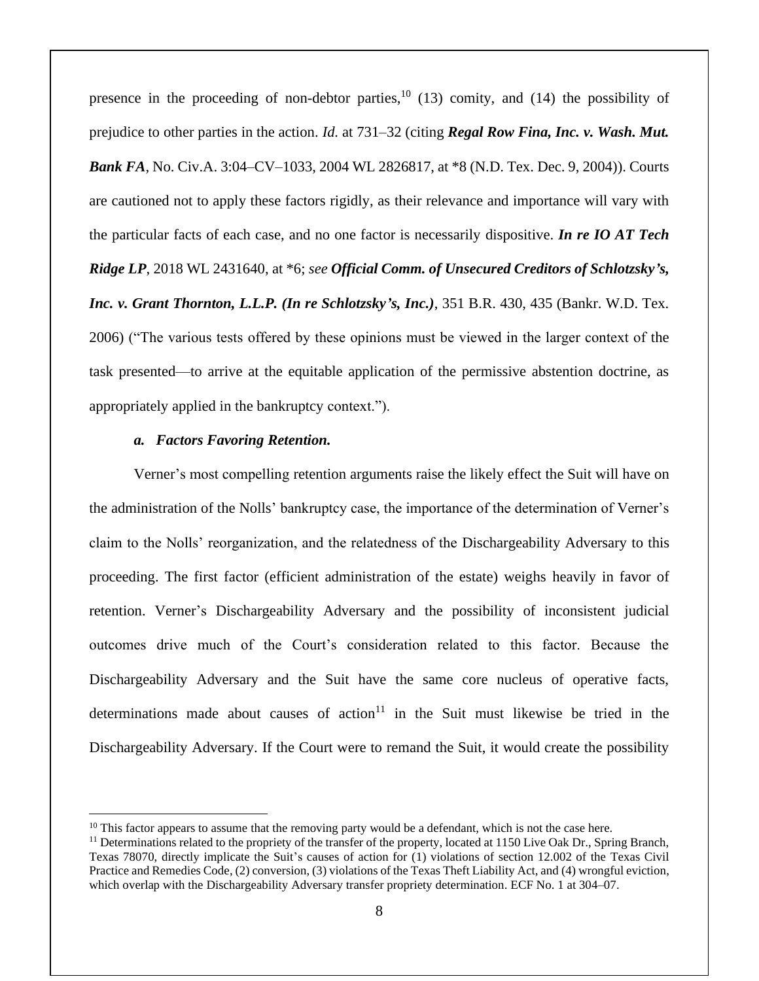presence in the proceeding of non-debtor parties,<sup>10</sup> (13) comity, and (14) the possibility of prejudice to other parties in the action. *Id.* at 731–32 (citing *Regal Row Fina, Inc. v. Wash. Mut. Bank FA*, No. Civ.A. 3:04–CV–1033, 2004 WL 2826817, at \*8 (N.D. Tex. Dec. 9, 2004)). Courts are cautioned not to apply these factors rigidly, as their relevance and importance will vary with the particular facts of each case, and no one factor is necessarily dispositive. *In re IO AT Tech Ridge LP*, 2018 WL 2431640, at \*6; *see Official Comm. of Unsecured Creditors of Schlotzsky's, Inc. v. Grant Thornton, L.L.P. (In re Schlotzsky's, Inc.)*, 351 B.R. 430, 435 (Bankr. W.D. Tex. 2006) ("The various tests offered by these opinions must be viewed in the larger context of the task presented—to arrive at the equitable application of the permissive abstention doctrine, as appropriately applied in the bankruptcy context.").

### *a. Factors Favoring Retention.*

Verner's most compelling retention arguments raise the likely effect the Suit will have on the administration of the Nolls' bankruptcy case, the importance of the determination of Verner's claim to the Nolls' reorganization, and the relatedness of the Dischargeability Adversary to this proceeding. The first factor (efficient administration of the estate) weighs heavily in favor of retention. Verner's Dischargeability Adversary and the possibility of inconsistent judicial outcomes drive much of the Court's consideration related to this factor. Because the Dischargeability Adversary and the Suit have the same core nucleus of operative facts, determinations made about causes of  $\arctan^{11}$  in the Suit must likewise be tried in the Dischargeability Adversary. If the Court were to remand the Suit, it would create the possibility

 $10$  This factor appears to assume that the removing party would be a defendant, which is not the case here.

 $<sup>11</sup>$  Determinations related to the propriety of the transfer of the property, located at 1150 Live Oak Dr., Spring Branch,</sup> Texas 78070, directly implicate the Suit's causes of action for (1) violations of section 12.002 of the Texas Civil Practice and Remedies Code, (2) conversion, (3) violations of the Texas Theft Liability Act, and (4) wrongful eviction, which overlap with the Dischargeability Adversary transfer propriety determination. ECF No. 1 at 304–07.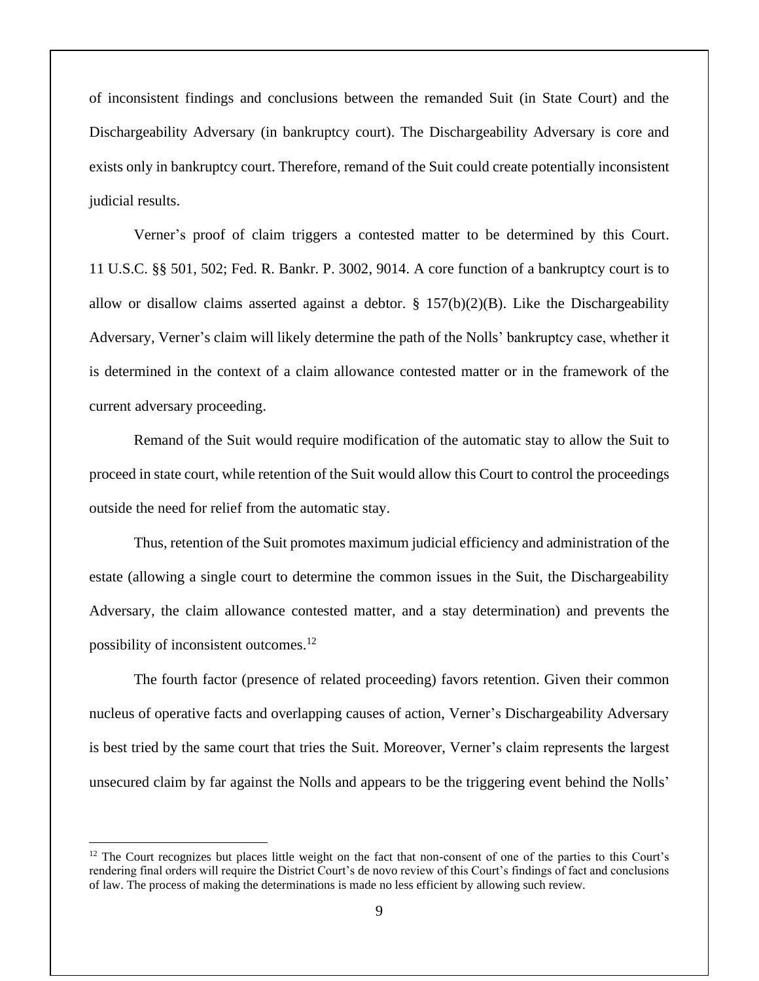of inconsistent findings and conclusions between the remanded Suit (in State Court) and the Dischargeability Adversary (in bankruptcy court). The Dischargeability Adversary is core and exists only in bankruptcy court. Therefore, remand of the Suit could create potentially inconsistent judicial results.

Verner's proof of claim triggers a contested matter to be determined by this Court. 11 U.S.C. §§ 501, 502; Fed. R. Bankr. P. 3002, 9014. A core function of a bankruptcy court is to allow or disallow claims asserted against a debtor.  $\S$  157(b)(2)(B). Like the Dischargeability Adversary, Verner's claim will likely determine the path of the Nolls' bankruptcy case, whether it is determined in the context of a claim allowance contested matter or in the framework of the current adversary proceeding.

Remand of the Suit would require modification of the automatic stay to allow the Suit to proceed in state court, while retention of the Suit would allow this Court to control the proceedings outside the need for relief from the automatic stay.

Thus, retention of the Suit promotes maximum judicial efficiency and administration of the estate (allowing a single court to determine the common issues in the Suit, the Dischargeability Adversary, the claim allowance contested matter, and a stay determination) and prevents the possibility of inconsistent outcomes.<sup>12</sup>

The fourth factor (presence of related proceeding) favors retention. Given their common nucleus of operative facts and overlapping causes of action, Verner's Dischargeability Adversary is best tried by the same court that tries the Suit. Moreover, Verner's claim represents the largest unsecured claim by far against the Nolls and appears to be the triggering event behind the Nolls'

<sup>&</sup>lt;sup>12</sup> The Court recognizes but places little weight on the fact that non-consent of one of the parties to this Court's rendering final orders will require the District Court's de novo review of this Court's findings of fact and conclusions of law. The process of making the determinations is made no less efficient by allowing such review.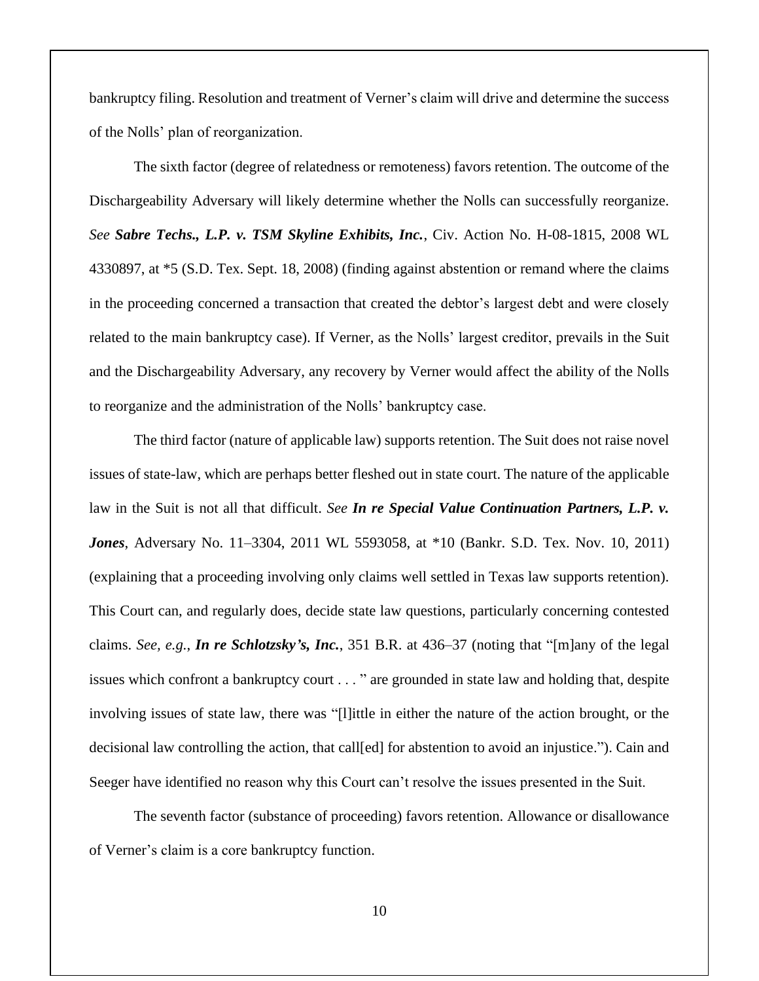bankruptcy filing. Resolution and treatment of Verner's claim will drive and determine the success of the Nolls' plan of reorganization.

The sixth factor (degree of relatedness or remoteness) favors retention. The outcome of the Dischargeability Adversary will likely determine whether the Nolls can successfully reorganize. *See Sabre Techs., L.P. v. TSM Skyline Exhibits, Inc.*, Civ. Action No. H-08-1815, 2008 WL 4330897, at \*5 (S.D. Tex. Sept. 18, 2008) (finding against abstention or remand where the claims in the proceeding concerned a transaction that created the debtor's largest debt and were closely related to the main bankruptcy case). If Verner, as the Nolls' largest creditor, prevails in the Suit and the Dischargeability Adversary, any recovery by Verner would affect the ability of the Nolls to reorganize and the administration of the Nolls' bankruptcy case.

The third factor (nature of applicable law) supports retention. The Suit does not raise novel issues of state-law, which are perhaps better fleshed out in state court. The nature of the applicable law in the Suit is not all that difficult. *See In re Special Value Continuation Partners, L.P. v. Jones*, Adversary No. 11–3304, 2011 WL 5593058, at \*10 (Bankr. S.D. Tex. Nov. 10, 2011) (explaining that a proceeding involving only claims well settled in Texas law supports retention). This Court can, and regularly does, decide state law questions, particularly concerning contested claims. *See, e.g.*, *In re Schlotzsky's, Inc.*, 351 B.R. at 436–37 (noting that "[m]any of the legal issues which confront a bankruptcy court . . . " are grounded in state law and holding that, despite involving issues of state law, there was "[l]ittle in either the nature of the action brought, or the decisional law controlling the action, that call[ed] for abstention to avoid an injustice."). Cain and Seeger have identified no reason why this Court can't resolve the issues presented in the Suit.

The seventh factor (substance of proceeding) favors retention. Allowance or disallowance of Verner's claim is a core bankruptcy function.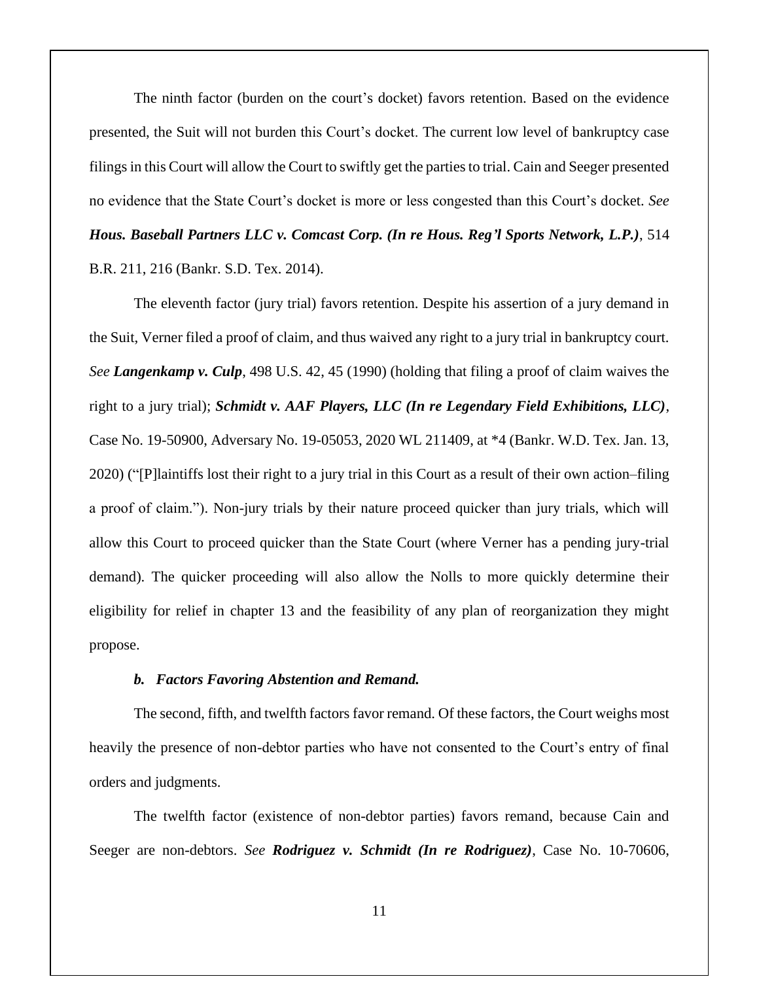The ninth factor (burden on the court's docket) favors retention. Based on the evidence presented, the Suit will not burden this Court's docket. The current low level of bankruptcy case filings in this Court will allow the Court to swiftly get the parties to trial. Cain and Seeger presented no evidence that the State Court's docket is more or less congested than this Court's docket. *See Hous. Baseball Partners LLC v. Comcast Corp. (In re Hous. Reg'l Sports Network, L.P.)*, 514 B.R. 211, 216 (Bankr. S.D. Tex. 2014).

The eleventh factor (jury trial) favors retention. Despite his assertion of a jury demand in the Suit, Verner filed a proof of claim, and thus waived any right to a jury trial in bankruptcy court. *See Langenkamp v. Culp*, 498 U.S. 42, 45 (1990) (holding that filing a proof of claim waives the right to a jury trial); *Schmidt v. AAF Players, LLC (In re Legendary Field Exhibitions, LLC)*, Case No. 19-50900, Adversary No. 19-05053, 2020 WL 211409, at \*4 (Bankr. W.D. Tex. Jan. 13, 2020) ("[P]laintiffs lost their right to a jury trial in this Court as a result of their own action–filing a proof of claim."). Non-jury trials by their nature proceed quicker than jury trials, which will allow this Court to proceed quicker than the State Court (where Verner has a pending jury-trial demand). The quicker proceeding will also allow the Nolls to more quickly determine their eligibility for relief in chapter 13 and the feasibility of any plan of reorganization they might propose.

#### *b. Factors Favoring Abstention and Remand.*

The second, fifth, and twelfth factors favor remand. Of these factors, the Court weighs most heavily the presence of non-debtor parties who have not consented to the Court's entry of final orders and judgments.

The twelfth factor (existence of non-debtor parties) favors remand, because Cain and Seeger are non-debtors. *See Rodriguez v. Schmidt (In re Rodriguez)*, Case No. 10-70606,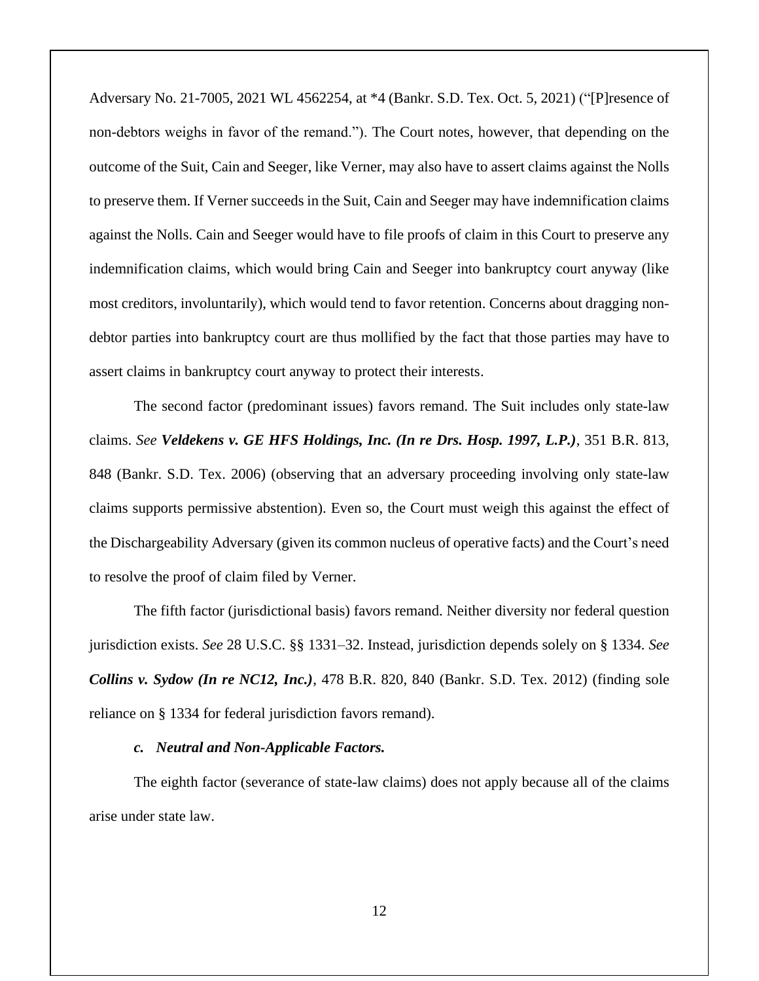Adversary No. 21-7005, 2021 WL 4562254, at \*4 (Bankr. S.D. Tex. Oct. 5, 2021) ("[P]resence of non-debtors weighs in favor of the remand."). The Court notes, however, that depending on the outcome of the Suit, Cain and Seeger, like Verner, may also have to assert claims against the Nolls to preserve them. If Verner succeeds in the Suit, Cain and Seeger may have indemnification claims against the Nolls. Cain and Seeger would have to file proofs of claim in this Court to preserve any indemnification claims, which would bring Cain and Seeger into bankruptcy court anyway (like most creditors, involuntarily), which would tend to favor retention. Concerns about dragging nondebtor parties into bankruptcy court are thus mollified by the fact that those parties may have to assert claims in bankruptcy court anyway to protect their interests.

The second factor (predominant issues) favors remand. The Suit includes only state-law claims. *See Veldekens v. GE HFS Holdings, Inc. (In re Drs. Hosp. 1997, L.P.)*, 351 B.R. 813, 848 (Bankr. S.D. Tex. 2006) (observing that an adversary proceeding involving only state-law claims supports permissive abstention). Even so, the Court must weigh this against the effect of the Dischargeability Adversary (given its common nucleus of operative facts) and the Court's need to resolve the proof of claim filed by Verner.

The fifth factor (jurisdictional basis) favors remand. Neither diversity nor federal question jurisdiction exists. *See* 28 U.S.C. §§ 1331–32. Instead, jurisdiction depends solely on § 1334. *See Collins v. Sydow (In re NC12, Inc.)*, 478 B.R. 820, 840 (Bankr. S.D. Tex. 2012) (finding sole reliance on § 1334 for federal jurisdiction favors remand).

### *c. Neutral and Non-Applicable Factors.*

The eighth factor (severance of state-law claims) does not apply because all of the claims arise under state law.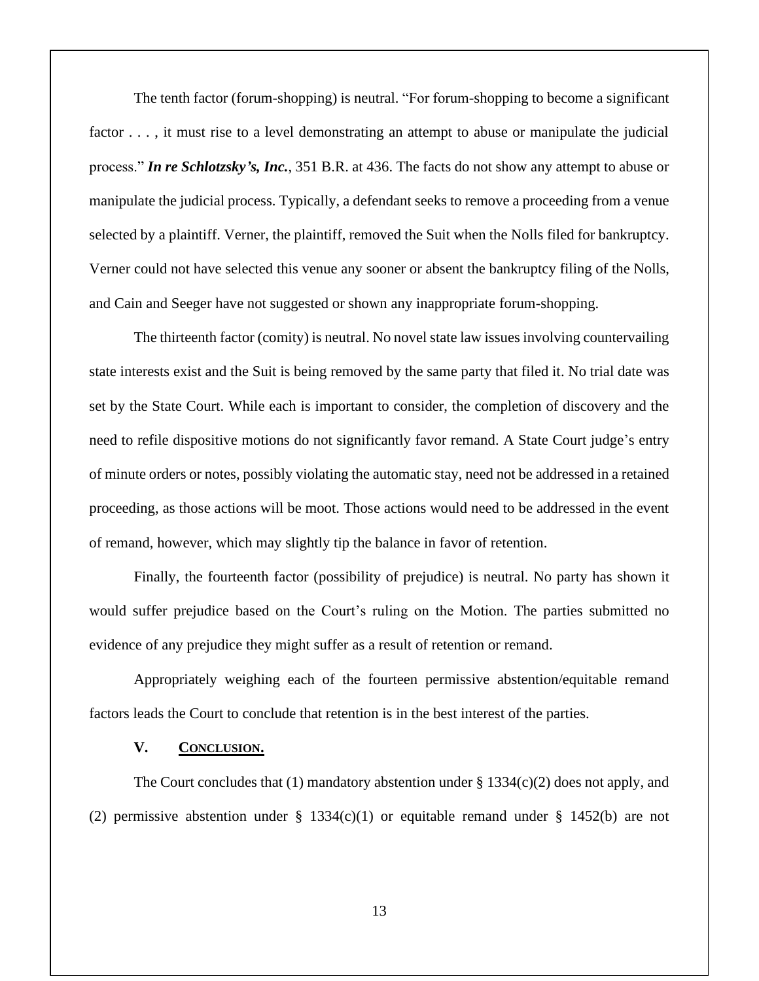The tenth factor (forum-shopping) is neutral. "For forum-shopping to become a significant factor . . . , it must rise to a level demonstrating an attempt to abuse or manipulate the judicial process." *In re Schlotzsky's, Inc.*, 351 B.R. at 436. The facts do not show any attempt to abuse or manipulate the judicial process. Typically, a defendant seeks to remove a proceeding from a venue selected by a plaintiff. Verner, the plaintiff, removed the Suit when the Nolls filed for bankruptcy. Verner could not have selected this venue any sooner or absent the bankruptcy filing of the Nolls, and Cain and Seeger have not suggested or shown any inappropriate forum-shopping.

The thirteenth factor (comity) is neutral. No novel state law issues involving countervailing state interests exist and the Suit is being removed by the same party that filed it. No trial date was set by the State Court. While each is important to consider, the completion of discovery and the need to refile dispositive motions do not significantly favor remand. A State Court judge's entry of minute orders or notes, possibly violating the automatic stay, need not be addressed in a retained proceeding, as those actions will be moot. Those actions would need to be addressed in the event of remand, however, which may slightly tip the balance in favor of retention.

Finally, the fourteenth factor (possibility of prejudice) is neutral. No party has shown it would suffer prejudice based on the Court's ruling on the Motion. The parties submitted no evidence of any prejudice they might suffer as a result of retention or remand.

Appropriately weighing each of the fourteen permissive abstention/equitable remand factors leads the Court to conclude that retention is in the best interest of the parties.

## **V. CONCLUSION.**

The Court concludes that (1) mandatory abstention under  $\S 1334(c)(2)$  does not apply, and (2) permissive abstention under  $\S$  1334(c)(1) or equitable remand under  $\S$  1452(b) are not